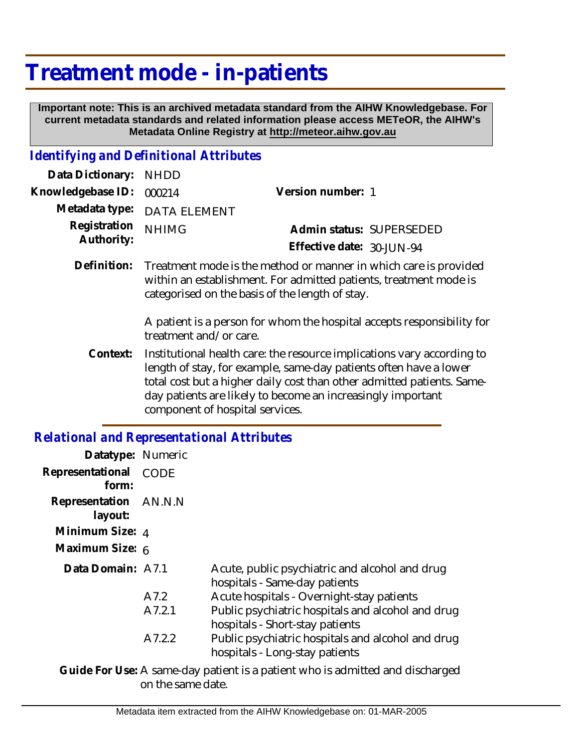# **Treatment mode - in-patients**

 **Important note: This is an archived metadata standard from the AIHW Knowledgebase. For current metadata standards and related information please access METeOR, the AIHW's Metadata Online Registry at http://meteor.aihw.gov.au**

### *Identifying and Definitional Attributes*

| Data Dictionary: NHDD            |                                                                                            |                           |                          |
|----------------------------------|--------------------------------------------------------------------------------------------|---------------------------|--------------------------|
| Knowledgebase ID: 000214         |                                                                                            | Version number: 1         |                          |
|                                  | Metadata type: DATA ELEMENT                                                                |                           |                          |
| Registration NHIMG<br>Authority: |                                                                                            |                           | Admin status: SUPERSEDED |
|                                  |                                                                                            | Effective date: 30-JUN-94 |                          |
|                                  | Definition — Taccharach are delle medicale alle accordiante in colette con in construction |                           |                          |

Definition: Treatment mode is the method or manner in which care is provided within an establishment. For admitted patients, treatment mode is categorised on the basis of the length of stay.

> A patient is a person for whom the hospital accepts responsibility for treatment and/or care.

Institutional health care: the resource implications vary according to length of stay, for example, same-day patients often have a lower total cost but a higher daily cost than other admitted patients. Sameday patients are likely to become an increasingly important component of hospital services. **Context:**

### *Relational and Representational Attributes*

| Datatype: Numeric                |             |                                                                                      |
|----------------------------------|-------------|--------------------------------------------------------------------------------------|
| Representational<br>form:        | <b>CODE</b> |                                                                                      |
| Representation AN.N.N<br>layout: |             |                                                                                      |
| Minimum Size: 4                  |             |                                                                                      |
| Maximum Size: 6                  |             |                                                                                      |
| Data Domain: A7.1                |             | Acute, public psychiatric and alcohol and drug<br>hospitals - Same-day patients      |
|                                  | A7.2        | Acute hospitals - Overnight-stay patients                                            |
|                                  | A7.2.1      | Public psychiatric hospitals and alcohol and drug<br>hospitals - Short-stay patients |
|                                  | A7.2.2      | Public psychiatric hospitals and alcohol and drug<br>hospitals - Long-stay patients  |
|                                  |             |                                                                                      |

Guide For Use: A same-day patient is a patient who is admitted and discharged on the same date.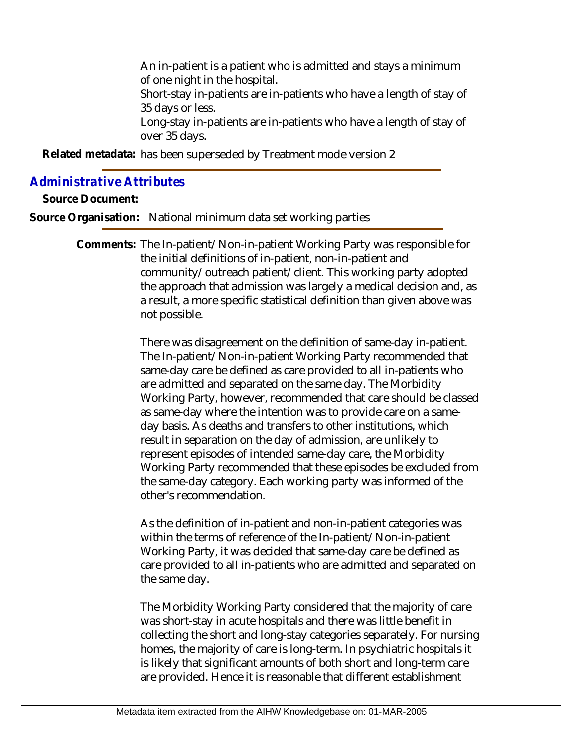An in-patient is a patient who is admitted and stays a minimum of one night in the hospital.

Short-stay in-patients are in-patients who have a length of stay of 35 days or less.

Long-stay in-patients are in-patients who have a length of stay of over 35 days.

Related metadata: has been superseded by Treatment mode version 2

## *Administrative Attributes*

**Source Document:**

**Source Organisation:** National minimum data set working parties

Comments: The In-patient/Non-in-patient Working Party was responsible for the initial definitions of in-patient, non-in-patient and community/outreach patient/client. This working party adopted the approach that admission was largely a medical decision and, as a result, a more specific statistical definition than given above was not possible.

> There was disagreement on the definition of same-day in-patient. The In-patient/Non-in-patient Working Party recommended that same-day care be defined as care provided to all in-patients who are admitted and separated on the same day. The Morbidity Working Party, however, recommended that care should be classed as same-day where the intention was to provide care on a sameday basis. As deaths and transfers to other institutions, which result in separation on the day of admission, are unlikely to represent episodes of intended same-day care, the Morbidity Working Party recommended that these episodes be excluded from the same-day category. Each working party was informed of the other's recommendation.

As the definition of in-patient and non-in-patient categories was within the terms of reference of the In-patient/Non-in-patient Working Party, it was decided that same-day care be defined as care provided to all in-patients who are admitted and separated on the same day.

The Morbidity Working Party considered that the majority of care was short-stay in acute hospitals and there was little benefit in collecting the short and long-stay categories separately. For nursing homes, the majority of care is long-term. In psychiatric hospitals it is likely that significant amounts of both short and long-term care are provided. Hence it is reasonable that different establishment